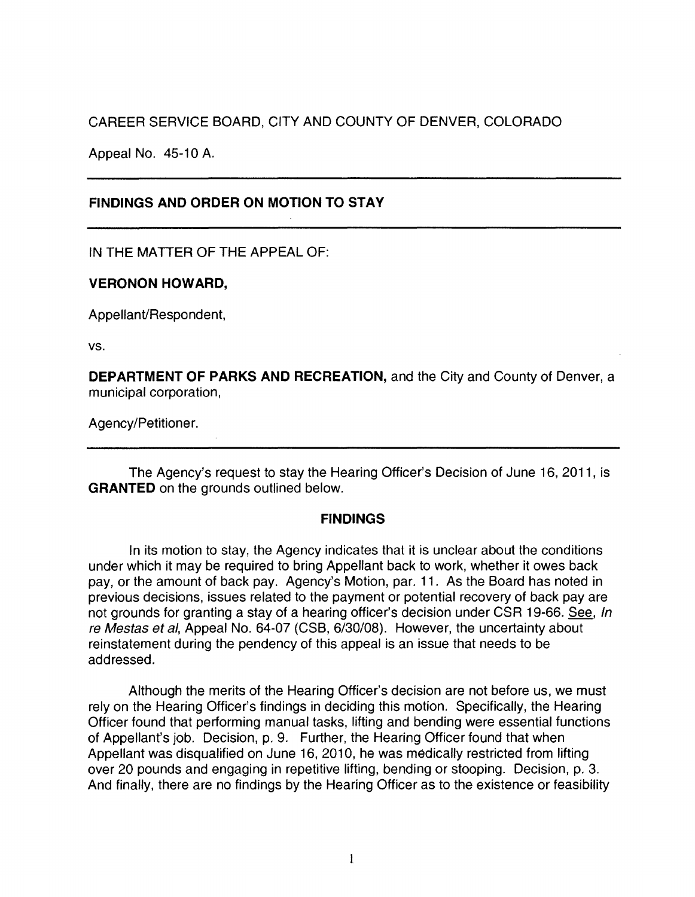# CAREER SERVICE BOARD, CITY AND COUNTY OF DENVER, COLORADO

Appeal No. 45-10 A.

## **FINDINGS AND ORDER ON MOTION TO STAY**

IN THE MATTER OF THE APPEAL OF:

### **VERONON HOWARD,**

Appellant/Respondent,

vs.

**DEPARTMENT OF PARKS AND RECREATION,** and the City and County of Denver, a municipal corporation,

Agency/Petitioner.

The Agency's request to stay the Hearing Officer's Decision of June 16, 2011, is **GRANTED** on the grounds outlined below.

### **FINDINGS**

In its motion to stay, the Agency indicates that it is unclear about the conditions under which it may be required to bring Appellant back to work, whether it owes back pay, or the amount of back pay. Agency's Motion, par. 11. As the Board has noted in previous decisions, issues related to the payment or potential recovery of back pay are not grounds for granting a stay of a hearing officer's decision under CSR 19-66. See, In re Mestas et al, Appeal No. 64-07 (CSB, 6/30/08). However, the uncertainty about reinstatement during the pendency of this appeal is an issue that needs to be addressed.

Although the merits of the Hearing Officer's decision are not before us, we must rely on the Hearing Officer's findings in deciding this motion. Specifically, the Hearing Officer found that performing manual tasks, lifting and bending were essential functions of Appellant's job. Decision, p. 9. Further, the Hearing Officer found that when Appellant was disqualified on June 16, 2010, he was medically restricted from lifting over 20 pounds and engaging in repetitive lifting, bending or stooping. Decision, p. 3. And finally, there are no findings by the Hearing Officer as to the existence or feasibility